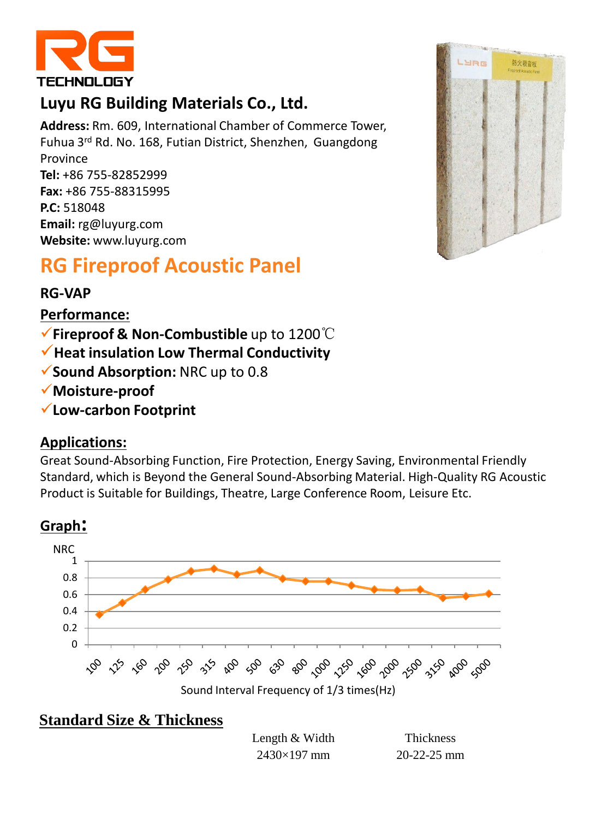

## **Luyu RG Building Materials Co., Ltd.**

**Address:** Rm. 609, International Chamber of Commerce Tower, Fuhua 3rd Rd. No. 168, Futian District, Shenzhen, Guangdong Province **Tel:** +86 755-82852999 **Fax:** +86 755-88315995 **P.C:** 518048 **Email:** rg@luyurg.com **Website:** www.luyurg.com

# **RG Fireproof Acoustic Panel**

### **RG-VAP**

**Performance:**

- **Fireproof & Non-Combustible** up to 1200℃
- **Heat insulation Low Thermal Conductivity**
- **Sound Absorption:** NRC up to 0.8
- **Moisture-proof**
- **Low-carbon Footprint**

#### **Applications:**

Great Sound-Absorbing Function, Fire Protection, Energy Saving, Environmental Friendly Standard, which is Beyond the General Sound-Absorbing Material. High-Quality RG Acoustic Product is Suitable for Buildings, Theatre, Large Conference Room, Leisure Etc.





### **Standard Size & Thickness**

Length & Width Thickness 2430×197 mm 20-22-25 mm